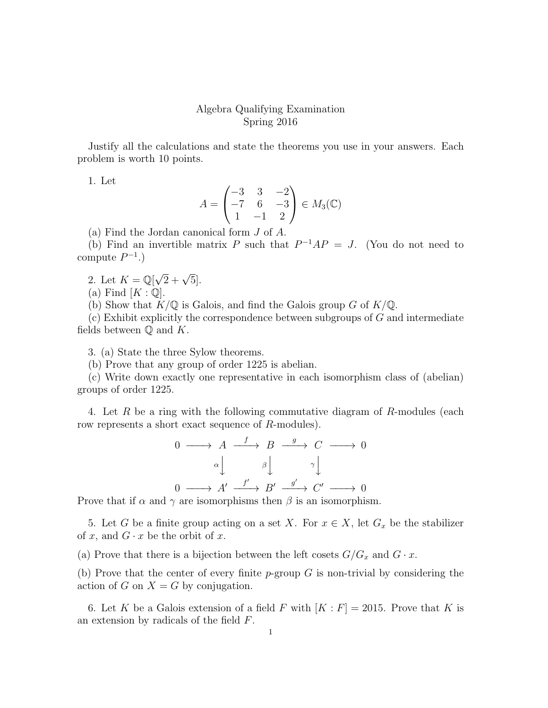## Algebra Qualifying Examination Spring 2016

Justify all the calculations and state the theorems you use in your answers. Each problem is worth 10 points.

1. Let

$$
A = \begin{pmatrix} -3 & 3 & -2 \\ -7 & 6 & -3 \\ 1 & -1 & 2 \end{pmatrix} \in M_3(\mathbb{C})
$$

(a) Find the Jordan canonical form J of A.

(b) Find an invertible matrix P such that  $P^{-1}AP = J$ . (You do not need to compute  $P^{-1}$ .)

2. Let  $K = \mathbb{Q}[\sqrt{2} + \sqrt{5}].$ 

(a) Find  $[K:\mathbb{Q}].$ 

(b) Show that  $K/\mathbb{Q}$  is Galois, and find the Galois group G of  $K/\mathbb{Q}$ .

 $(c)$  Exhibit explicitly the correspondence between subgroups of  $G$  and intermediate fields between  $\mathbb Q$  and  $K$ .

3. (a) State the three Sylow theorems.

(b) Prove that any group of order 1225 is abelian.

(c) Write down exactly one representative in each isomorphism class of (abelian) groups of order 1225.

4. Let R be a ring with the following commutative diagram of R-modules (each row represents a short exact sequence of R-modules).

$$
0 \longrightarrow A \xrightarrow{f} B \xrightarrow{g} C \longrightarrow 0
$$

$$
\alpha \downarrow \qquad \beta \downarrow \qquad \gamma \downarrow
$$

$$
0 \longrightarrow A' \xrightarrow{f'} B' \xrightarrow{g'} C' \longrightarrow 0
$$

Prove that if  $\alpha$  and  $\gamma$  are isomorphisms then  $\beta$  is an isomorphism.

5. Let G be a finite group acting on a set X. For  $x \in X$ , let  $G_x$  be the stabilizer of x, and  $G \cdot x$  be the orbit of x.

(a) Prove that there is a bijection between the left cosets  $G/G_x$  and  $G \cdot x$ .

(b) Prove that the center of every finite  $p$ -group G is non-trivial by considering the action of G on  $X = G$  by conjugation.

6. Let K be a Galois extension of a field F with  $[K: F] = 2015$ . Prove that K is an extension by radicals of the field F.